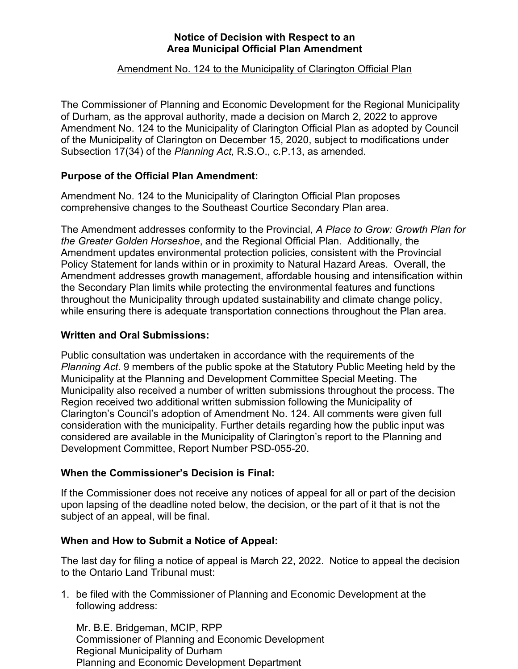# **Notice of Decision with Respect to an Area Municipal Official Plan Amendment**

# Amendment No. 124 to the Municipality of Clarington Official Plan

The Commissioner of Planning and Economic Development for the Regional Municipality of Durham, as the approval authority, made a decision on March 2, 2022 to approve Amendment No. 124 to the Municipality of Clarington Official Plan as adopted by Council of the Municipality of Clarington on December 15, 2020, subject to modifications under Subsection 17(34) of the *Planning Act*, R.S.O., c.P.13, as amended.

# **Purpose of the Official Plan Amendment:**

Amendment No. 124 to the Municipality of Clarington Official Plan proposes comprehensive changes to the Southeast Courtice Secondary Plan area.

The Amendment addresses conformity to the Provincial, *A Place to Grow: Growth Plan for the Greater Golden Horseshoe*, and the Regional Official Plan. Additionally, the Amendment updates environmental protection policies, consistent with the Provincial Policy Statement for lands within or in proximity to Natural Hazard Areas. Overall, the Amendment addresses growth management, affordable housing and intensification within the Secondary Plan limits while protecting the environmental features and functions throughout the Municipality through updated sustainability and climate change policy, while ensuring there is adequate transportation connections throughout the Plan area.

#### **Written and Oral Submissions:**

Public consultation was undertaken in accordance with the requirements of the *Planning Act*. 9 members of the public spoke at the Statutory Public Meeting held by the Municipality at the Planning and Development Committee Special Meeting. The Municipality also received a number of written submissions throughout the process. The Region received two additional written submission following the Municipality of Clarington's Council's adoption of Amendment No. 124. All comments were given full consideration with the municipality. Further details regarding how the public input was considered are available in the Municipality of Clarington's report to the Planning and Development Committee, Report Number PSD-055-20.

#### **When the Commissioner's Decision is Final:**

If the Commissioner does not receive any notices of appeal for all or part of the decision upon lapsing of the deadline noted below, the decision, or the part of it that is not the subject of an appeal, will be final.

#### **When and How to Submit a Notice of Appeal:**

The last day for filing a notice of appeal is March 22, 2022. Notice to appeal the decision to the Ontario Land Tribunal must:

1. be filed with the Commissioner of Planning and Economic Development at the following address:

Mr. B.E. Bridgeman, MCIP, RPP Commissioner of Planning and Economic Development Regional Municipality of Durham Planning and Economic Development Department